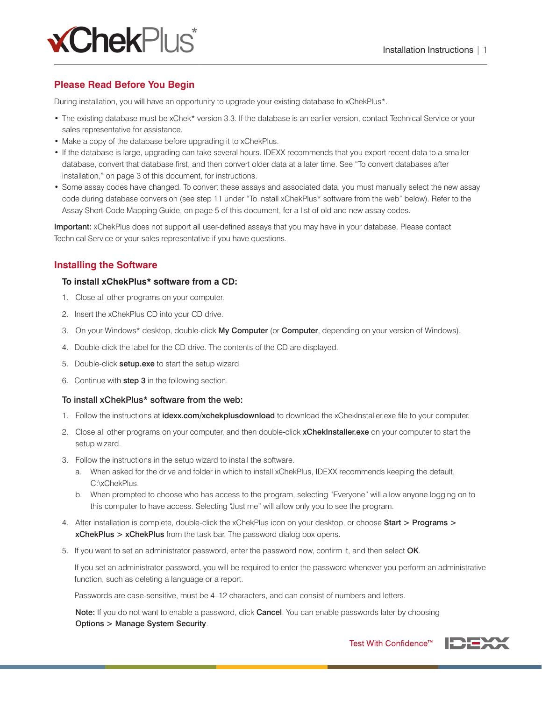

# **Please Read Before You Begin**

During installation, you will have an opportunity to upgrade your existing database to xChekPlus\*.

- The existing database must be xChek\* version 3.3. If the database is an earlier version, contact Technical Service or your sales representative for assistance.
- Make a copy of the database before upgrading it to xChekPlus.
- If the database is large, upgrading can take several hours. IDEXX recommends that you export recent data to a smaller database, convert that database first, and then convert older data at a later time. See "To convert databases after installation," on page 3 of this document, for instructions.
- Some assay codes have changed. To convert these assays and associated data, you must manually select the new assay code during database conversion (see step 11 under "To install xChekPlus\* software from the web" below). Refer to the Assay Short-Code Mapping Guide, on page 5 of this document, for a list of old and new assay codes.

Important: xChekPlus does not support all user-defined assays that you may have in your database. Please contact Technical Service or your sales representative if you have questions.

# **Installing the Software**

#### **To install xChekPlus\* software from a CD:**

- 1. Close all other programs on your computer.
- 2. Insert the xChekPlus CD into your CD drive.
- 3. On your Windows\* desktop, double-click My Computer (or Computer, depending on your version of Windows).
- 4. Double-click the label for the CD drive. The contents of the CD are displayed.
- 5. Double-click setup.exe to start the setup wizard.
- 6. Continue with step 3 in the following section.

#### To install xChekPlus\* software from the web:

- 1. Follow the instructions at **idexx.com/xchekplusdownload** to download the xChekInstaller.exe file to your computer.
- 2. Close all other programs on your computer, and then double-click **xChekInstaller.exe** on your computer to start the setup wizard.
- 3. Follow the instructions in the setup wizard to install the software.
	- a. When asked for the drive and folder in which to install xChekPlus, IDEXX recommends keeping the default, C:\xChekPlus.
	- b. When prompted to choose who has access to the program, selecting "Everyone" will allow anyone logging on to this computer to have access. Selecting "Just me" will allow only you to see the program.
- 4. After installation is complete, double-click the xChekPlus icon on your desktop, or choose Start > Programs > xChekPlus > xChekPlus from the task bar. The password dialog box opens.
- 5. If you want to set an administrator password, enter the password now, confirm it, and then select OK.

 If you set an administrator password, you will be required to enter the password whenever you perform an administrative function, such as deleting a language or a report.

Passwords are case-sensitive, must be 4–12 characters, and can consist of numbers and letters.

Note: If you do not want to enable a password, click Cancel. You can enable passwords later by choosing Options > Manage System Security.



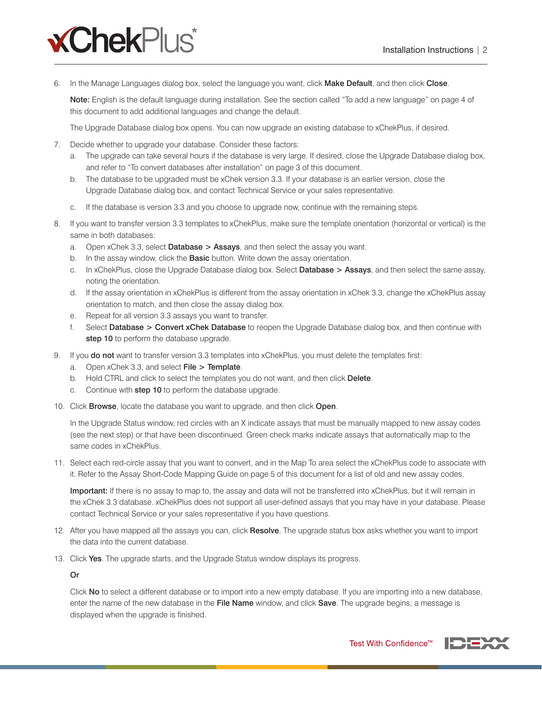

6. In the Manage Languages dialog box, select the language you want, click Make Default, and then click Close.

Note: English is the default language during installation. See the section called "To add a new language" on page 4 of this document to add additional languages and change the default.

The Upgrade Database dialog box opens. You can now upgrade an existing database to xChekPlus, if desired.

- 7. Decide whether to upgrade your database. Consider these factors:
	- a. The upgrade can take several hours if the database is very large. If desired, close the Upgrade Database dialog box, and refer to "To convert databases after installation" on page 3 of this document.
	- b. The database to be upgraded must be xChek version 3.3. If your database is an earlier version, close the Upgrade Database dialog box, and contact Technical Service or your sales representative.
	- c. If the database is version 3.3 and you choose to upgrade now, continue with the remaining steps.
- 8. If you want to transfer version 3.3 templates to xChekPlus, make sure the template orientation (horizontal or vertical) is the same in both databases:
	- a. Open xChek 3.3, select Database  $>$  Assays, and then select the assay you want.
	- b. In the assay window, click the **Basic** button. Write down the assay orientation.
	- c. In xChekPlus, close the Upgrade Database dialog box. Select Database > Assays, and then select the same assay, noting the orientation.
	- d. If the assay orientation in xChekPlus is different from the assay orientation in xChek 3.3, change the xChekPlus assay orientation to match, and then close the assay dialog box.
	- e. Repeat for all version 3.3 assays you want to transfer.
	- f. Select Database > Convert xChek Database to reopen the Upgrade Database dialog box, and then continue with step 10 to perform the database upgrade.
- 9. If you do not want to transfer version 3.3 templates into xChekPlus, you must delete the templates first:
	- a. Open xChek 3.3, and select  $File > Temple$ .
	- b. Hold CTRL and click to select the templates you do not want, and then click Delete.
	- c. Continue with step 10 to perform the database upgrade.
- 10. Click Browse, locate the database you want to upgrade, and then click Open.

In the Upgrade Status window, red circles with an X indicate assays that must be manually mapped to new assay codes (see the next step) or that have been discontinued. Green check marks indicate assays that automatically map to the same codes in xChekPlus.

11. Select each red-circle assay that you want to convert, and in the Map To area select the xChekPlus code to associate with it. Refer to the Assay Short-Code Mapping Guide on page 5 of this document for a list of old and new assay codes.

Important: If there is no assay to map to, the assay and data will not be transferred into xChekPlus, but it will remain in the xChek 3.3 database. xChekPlus does not support all user-defined assays that you may have in your database. Please contact Technical Service or your sales representative if you have questions.

- 12. After you have mapped all the assays you can, click Resolve. The upgrade status box asks whether you want to import the data into the current database.
- 13. Click Yes. The upgrade starts, and the Upgrade Status window displays its progress.

Or

Click No to select a different database or to import into a new empty database. If you are importing into a new database, enter the name of the new database in the File Name window, and click Save. The upgrade begins; a message is displayed when the upgrade is finished.

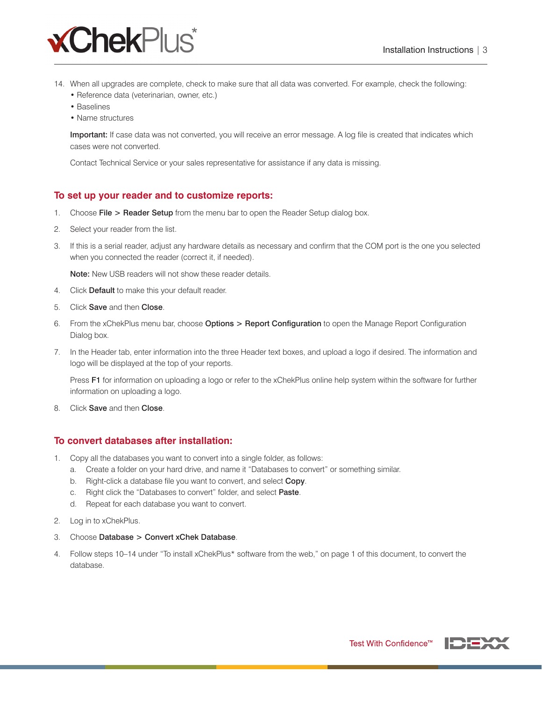

- 14. When all upgrades are complete, check to make sure that all data was converted. For example, check the following:
	- Reference data (veterinarian, owner, etc.)
	- Baselines
	- Name structures

Important: If case data was not converted, you will receive an error message. A log file is created that indicates which cases were not converted.

Contact Technical Service or your sales representative for assistance if any data is missing.

## **To set up your reader and to customize reports:**

- 1. Choose File > Reader Setup from the menu bar to open the Reader Setup dialog box.
- 2. Select your reader from the list.
- 3. If this is a serial reader, adjust any hardware details as necessary and confirm that the COM port is the one you selected when you connected the reader (correct it, if needed).

Note: New USB readers will not show these reader details.

- 4. Click Default to make this your default reader.
- 5. Click Save and then Close.
- 6. From the xChekPlus menu bar, choose Options > Report Configuration to open the Manage Report Configuration Dialog box.
- 7. In the Header tab, enter information into the three Header text boxes, and upload a logo if desired. The information and logo will be displayed at the top of your reports.

Press F1 for information on uploading a logo or refer to the xChekPlus online help system within the software for further information on uploading a logo.

8. Click **Save** and then **Close**.

## **To convert databases after installation:**

- 1. Copy all the databases you want to convert into a single folder, as follows:
	- a. Create a folder on your hard drive, and name it "Databases to convert" or something similar.
	- b. Right-click a database file you want to convert, and select Copy.
	- c. Right click the "Databases to convert" folder, and select Paste.
	- d. Repeat for each database you want to convert.
- 2. Log in to xChekPlus.
- 3. Choose Database > Convert xChek Database.
- 4. Follow steps 10–14 under "To install xChekPlus\* software from the web," on page 1 of this document, to convert the database.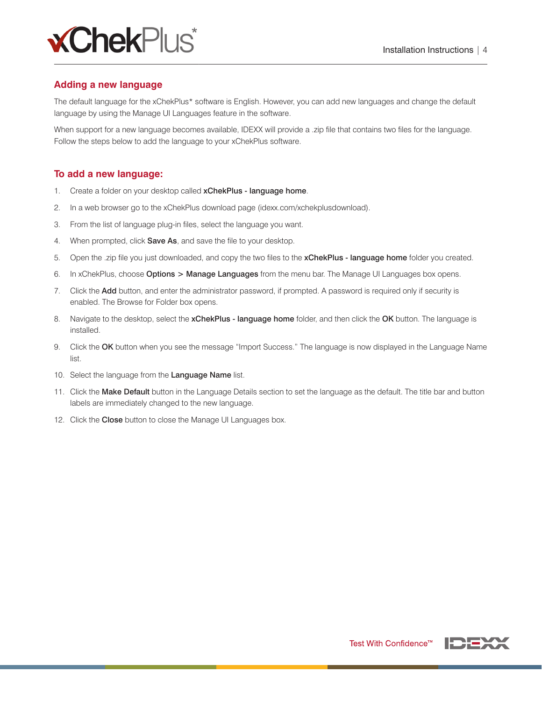

## **Adding a new language**

The default language for the xChekPlus\* software is English. However, you can add new languages and change the default language by using the Manage UI Languages feature in the software.

When support for a new language becomes available, IDEXX will provide a .zip file that contains two files for the language. Follow the steps below to add the language to your xChekPlus software.

#### **To add a new language:**

- 1. Create a folder on your desktop called xChekPlus language home.
- 2. In a web browser go to the xChekPlus download page (idexx.com/xchekplusdownload).
- 3. From the list of language plug-in files, select the language you want.
- 4. When prompted, click **Save As**, and save the file to your desktop.
- 5. Open the .zip file you just downloaded, and copy the two files to the xChekPlus language home folder you created.
- 6. In xChekPlus, choose **Options > Manage Languages** from the menu bar. The Manage UI Languages box opens.
- 7. Click the Add button, and enter the administrator password, if prompted. A password is required only if security is enabled. The Browse for Folder box opens.
- 8. Navigate to the desktop, select the **xChekPlus language home** folder, and then click the OK button. The language is installed.
- 9. Click the OK button when you see the message "Import Success." The language is now displayed in the Language Name list.
- 10. Select the language from the Language Name list.
- 11. Click the Make Default button in the Language Details section to set the language as the default. The title bar and button labels are immediately changed to the new language.
- 12. Click the Close button to close the Manage UI Languages box.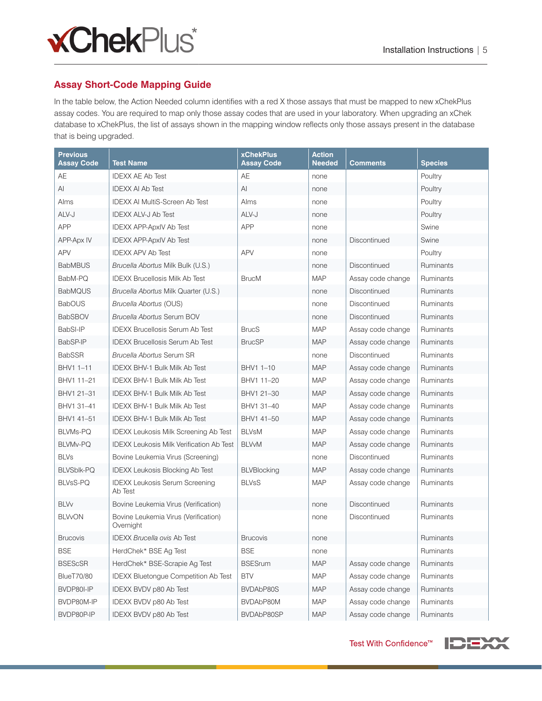

# **Assay Short-Code Mapping Guide**

In the table below, the Action Needed column identifies with a red X those assays that must be mapped to new xChekPlus assay codes. You are required to map only those assay codes that are used in your laboratory. When upgrading an xChek database to xChekPlus, the list of assays shown in the mapping window reflects only those assays present in the database that is being upgraded.

| <b>Previous</b><br><b>Assay Code</b> | <b>Test Name</b>                                  | <b>xChekPlus</b><br><b>Assay Code</b> | <b>Action</b><br>Needed | Comments          | <b>Species</b> |
|--------------------------------------|---------------------------------------------------|---------------------------------------|-------------------------|-------------------|----------------|
| AE                                   | <b>IDEXX AE Ab Test</b>                           | AE                                    | none                    |                   | Poultry        |
| Al                                   | <b>IDEXX AI Ab Test</b>                           | Al                                    | none                    |                   | Poultry        |
| Alms                                 | <b>IDEXX AI MultiS-Screen Ab Test</b>             | Alms                                  | none                    |                   | Poultry        |
| ALV-J                                | <b>IDEXX ALV-J Ab Test</b>                        | ALV-J                                 | none                    |                   | Poultry        |
| <b>APP</b>                           | <b>IDEXX APP-ApxIV Ab Test</b>                    | <b>APP</b>                            | none                    |                   | Swine          |
| <b>APP-Apx IV</b>                    | <b>IDEXX APP-ApxIV Ab Test</b>                    |                                       | none                    | Discontinued      | Swine          |
| <b>APV</b>                           | <b>IDEXX APV Ab Test</b>                          | <b>APV</b>                            | none                    |                   | Poultry        |
| <b>BabMBUS</b>                       | Brucella Abortus Milk Bulk (U.S.)                 |                                       | none                    | Discontinued      | Ruminants      |
| BabM-PQ                              | <b>IDEXX Brucellosis Milk Ab Test</b>             | <b>BrucM</b>                          | <b>MAP</b>              | Assay code change | Ruminants      |
| <b>BabMQUS</b>                       | Brucella Abortus Milk Quarter (U.S.)              |                                       | none                    | Discontinued      | Ruminants      |
| <b>BabOUS</b>                        | Brucella Abortus (OUS)                            |                                       | none                    | Discontinued      | Ruminants      |
| <b>BabSBOV</b>                       | <b>Brucella Abortus Serum BOV</b>                 |                                       | none                    | Discontinued      | Ruminants      |
| BabSI-IP                             | <b>IDEXX Brucellosis Serum Ab Test</b>            | <b>BrucS</b>                          | <b>MAP</b>              | Assay code change | Ruminants      |
| BabSP-IP                             | <b>IDEXX Brucellosis Serum Ab Test</b>            | <b>BrucSP</b>                         | <b>MAP</b>              | Assay code change | Ruminants      |
| <b>BabSSR</b>                        | <b>Brucella Abortus Serum SR</b>                  |                                       | none                    | Discontinued      | Ruminants      |
| BHV1 1-11                            | <b>IDEXX BHV-1 Bulk Milk Ab Test</b>              | BHV1 1-10                             | <b>MAP</b>              | Assay code change | Ruminants      |
| BHV1 11-21                           | IDEXX BHV-1 Bulk Milk Ab Test                     | BHV1 11-20                            | <b>MAP</b>              | Assay code change | Ruminants      |
| BHV1 21-31                           | <b>IDEXX BHV-1 Bulk Milk Ab Test</b>              | BHV1 21-30                            | <b>MAP</b>              | Assay code change | Ruminants      |
| BHV1 31-41                           | <b>IDEXX BHV-1 Bulk Milk Ab Test</b>              | BHV1 31-40                            | <b>MAP</b>              | Assay code change | Ruminants      |
| BHV1 41-51                           | IDEXX BHV-1 Bulk Milk Ab Test                     | BHV1 41-50                            | <b>MAP</b>              | Assay code change | Ruminants      |
| <b>BLVMs-PQ</b>                      | <b>IDEXX Leukosis Milk Screening Ab Test</b>      | <b>BLVsM</b>                          | <b>MAP</b>              | Assay code change | Ruminants      |
| <b>BLVMv-PQ</b>                      | <b>IDEXX Leukosis Milk Verification Ab Test</b>   | <b>BLVvM</b>                          | <b>MAP</b>              | Assay code change | Ruminants      |
| <b>BLVs</b>                          | Bovine Leukemia Virus (Screening)                 |                                       | none                    | Discontinued      | Ruminants      |
| <b>BLVSblk-PQ</b>                    | <b>IDEXX Leukosis Blocking Ab Test</b>            | <b>BLVBlocking</b>                    | <b>MAP</b>              | Assay code change | Ruminants      |
| <b>BLVsS-PQ</b>                      | <b>IDEXX Leukosis Serum Screening</b><br>Ab Test  | <b>BLVsS</b>                          | <b>MAP</b>              | Assay code change | Ruminants      |
| <b>BLVv</b>                          | Bovine Leukemia Virus (Verification)              |                                       | none                    | Discontinued      | Ruminants      |
| <b>BLVvON</b>                        | Bovine Leukemia Virus (Verification)<br>Overnight |                                       | none                    | Discontinued      | Ruminants      |
| <b>Brucovis</b>                      | <b>IDEXX Brucella ovis Ab Test</b>                | <b>Brucovis</b>                       | none                    |                   | Ruminants      |
| <b>BSE</b>                           | HerdChek* BSE Ag Test                             | <b>BSE</b>                            | none                    |                   | Ruminants      |
| <b>BSEScSR</b>                       | HerdChek* BSE-Scrapie Ag Test                     | <b>BSESrum</b>                        | <b>MAP</b>              | Assay code change | Ruminants      |
| <b>BlueT70/80</b>                    | <b>IDEXX Bluetongue Competition Ab Test</b>       | <b>BTV</b>                            | <b>MAP</b>              | Assay code change | Ruminants      |
| BVDP80I-IP                           | IDEXX BVDV p80 Ab Test                            | BVDAbP80S                             | <b>MAP</b>              | Assay code change | Ruminants      |
| BVDP80M-IP                           | IDEXX BVDV p80 Ab Test                            | BVDAbP80M                             | <b>MAP</b>              | Assay code change | Ruminants      |
| BVDP80P-IP                           | IDEXX BVDV p80 Ab Test                            | BVDAbP80SP                            | <b>MAP</b>              | Assay code change | Ruminants      |

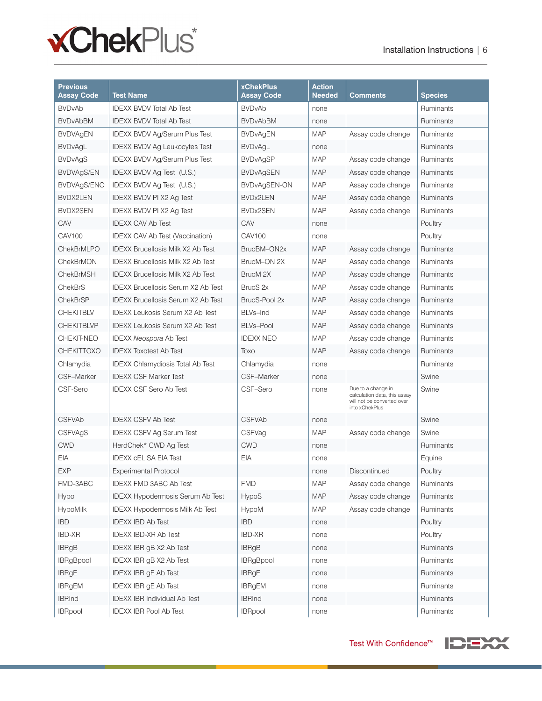

| <b>Previous</b><br><b>Assay Code</b> | <b>Test Name</b>                          | <b>xChekPlus</b><br><b>Assay Code</b> | <b>Action</b><br><b>Needed</b> | Comments                                                                                           | Species   |
|--------------------------------------|-------------------------------------------|---------------------------------------|--------------------------------|----------------------------------------------------------------------------------------------------|-----------|
| <b>BVDvAb</b>                        | <b>IDEXX BVDV Total Ab Test</b>           | <b>BVDvAb</b>                         | none                           |                                                                                                    | Ruminants |
| <b>BVDvAbBM</b>                      | <b>IDEXX BVDV Total Ab Test</b>           | <b>BVDvAbBM</b>                       | none                           |                                                                                                    | Ruminants |
| <b>BVDVAgEN</b>                      | <b>IDEXX BVDV Ag/Serum Plus Test</b>      | <b>BVDvAgEN</b>                       | <b>MAP</b>                     | Assay code change                                                                                  | Ruminants |
| <b>BVDvAgL</b>                       | <b>IDEXX BVDV Ag Leukocytes Test</b>      | <b>BVDvAgL</b>                        | none                           |                                                                                                    | Ruminants |
| <b>BVDvAgS</b>                       | <b>IDEXX BVDV Ag/Serum Plus Test</b>      | <b>BVDvAgSP</b>                       | <b>MAP</b>                     | Assay code change                                                                                  | Ruminants |
| BVDVAgS/EN                           | IDEXX BVDV Ag Test (U.S.)                 | <b>BVDvAgSEN</b>                      | <b>MAP</b>                     | Assay code change                                                                                  | Ruminants |
| BVDVAgS/ENO                          | IDEXX BVDV Ag Test (U.S.)                 | BVDvAgSEN-ON                          | <b>MAP</b>                     | Assay code change                                                                                  | Ruminants |
| <b>BVDX2LEN</b>                      | <b>IDEXX BVDV PI X2 Ag Test</b>           | <b>BVDx2LEN</b>                       | <b>MAP</b>                     | Assay code change                                                                                  | Ruminants |
| BVDX2SEN                             | IDEXX BVDV PI X2 Ag Test                  | <b>BVDx2SEN</b>                       | <b>MAP</b>                     | Assay code change                                                                                  | Ruminants |
| CAV                                  | <b>IDEXX CAV Ab Test</b>                  | CAV                                   | none                           |                                                                                                    | Poultry   |
| <b>CAV100</b>                        | <b>IDEXX CAV Ab Test (Vaccination)</b>    | CAV100                                | none                           |                                                                                                    | Poultry   |
| <b>ChekBrMLPO</b>                    | <b>IDEXX Brucellosis Milk X2 Ab Test</b>  | BrucBM-ON2x                           | <b>MAP</b>                     | Assay code change                                                                                  | Ruminants |
| ChekBrMON                            | <b>IDEXX Brucellosis Milk X2 Ab Test</b>  | BrucM-ON 2X                           | <b>MAP</b>                     | Assay code change                                                                                  | Ruminants |
| <b>ChekBrMSH</b>                     | <b>IDEXX Brucellosis Milk X2 Ab Test</b>  | BrucM <sub>2X</sub>                   | <b>MAP</b>                     | Assay code change                                                                                  | Ruminants |
| <b>ChekBrS</b>                       | <b>IDEXX Brucellosis Serum X2 Ab Test</b> | BrucS <sub>2x</sub>                   | <b>MAP</b>                     | Assay code change                                                                                  | Ruminants |
| <b>ChekBrSP</b>                      | <b>IDEXX Brucellosis Serum X2 Ab Test</b> | BrucS-Pool 2x                         | <b>MAP</b>                     | Assay code change                                                                                  | Ruminants |
| <b>CHEKITBLV</b>                     | <b>IDEXX Leukosis Serum X2 Ab Test</b>    | BLVs-Ind                              | <b>MAP</b>                     | Assay code change                                                                                  | Ruminants |
| <b>CHEKITBLVP</b>                    | <b>IDEXX Leukosis Serum X2 Ab Test</b>    | <b>BLVs-Pool</b>                      | <b>MAP</b>                     | Assay code change                                                                                  | Ruminants |
| <b>CHEKIT-NEO</b>                    | <b>IDEXX Neospora Ab Test</b>             | <b>IDEXX NEO</b>                      | <b>MAP</b>                     | Assay code change                                                                                  | Ruminants |
| <b>CHEKITTOXO</b>                    | <b>IDEXX Toxotest Ab Test</b>             | Toxo                                  | <b>MAP</b>                     | Assay code change                                                                                  | Ruminants |
| Chlamydia                            | <b>IDEXX Chlamydiosis Total Ab Test</b>   | Chlamydia                             | none                           |                                                                                                    | Ruminants |
| CSF-Marker                           | <b>IDEXX CSF Marker Test</b>              | CSF-Marker                            | none                           |                                                                                                    | Swine     |
| CSF-Sero                             | <b>IDEXX CSF Sero Ab Test</b>             | CSF-Sero                              | none                           | Due to a change in<br>calculation data, this assay<br>will not be converted over<br>into xChekPlus | Swine     |
| <b>CSFVAb</b>                        | <b>IDEXX CSFV Ab Test</b>                 | <b>CSFVAb</b>                         | none                           |                                                                                                    | Swine     |
| <b>CSFVAgS</b>                       | <b>IDEXX CSFV Ag Serum Test</b>           | <b>CSFVag</b>                         | <b>MAP</b>                     | Assay code change                                                                                  | Swine     |
| <b>CWD</b>                           | HerdChek* CWD Ag Test                     | <b>CWD</b>                            | none                           |                                                                                                    | Ruminants |
| <b>EIA</b>                           | <b>IDEXX CELISA EIA Test</b>              | EIA                                   | none                           |                                                                                                    | Equine    |
| <b>EXP</b>                           | <b>Experimental Protocol</b>              |                                       | none                           | Discontinued                                                                                       | Poultry   |
| FMD-3ABC                             | <b>IDEXX FMD 3ABC Ab Test</b>             | <b>FMD</b>                            | MAP                            | Assay code change                                                                                  | Ruminants |
| Hypo                                 | IDEXX Hypodermosis Serum Ab Test          | HypoS                                 | <b>MAP</b>                     | Assay code change                                                                                  | Ruminants |
| HypoMilk                             | IDEXX Hypodermosis Milk Ab Test           | HypoM                                 | MAP                            | Assay code change                                                                                  | Ruminants |
| <b>IBD</b>                           | <b>IDEXX IBD Ab Test</b>                  | <b>IBD</b>                            | none                           |                                                                                                    | Poultry   |
| <b>IBD-XR</b>                        | <b>IDEXX IBD-XR Ab Test</b>               | <b>IBD-XR</b>                         | none                           |                                                                                                    | Poultry   |
| <b>IBRgB</b>                         | IDEXX IBR gB X2 Ab Test                   | <b>IBRgB</b>                          | none                           |                                                                                                    | Ruminants |
| <b>IBRgBpool</b>                     | IDEXX IBR gB X2 Ab Test                   | <b>IBRgBpool</b>                      | none                           |                                                                                                    | Ruminants |
| <b>IBRgE</b>                         | <b>IDEXX IBR gE Ab Test</b>               | <b>IBRgE</b>                          | none                           |                                                                                                    | Ruminants |
| <b>IBRgEM</b>                        | <b>IDEXX IBR gE Ab Test</b>               | <b>IBRgEM</b>                         | none                           |                                                                                                    | Ruminants |
| <b>IBRInd</b>                        | <b>IDEXX IBR Individual Ab Test</b>       | <b>IBRInd</b>                         | none                           |                                                                                                    | Ruminants |
| <b>IBRpool</b>                       | <b>IDEXX IBR Pool Ab Test</b>             | <b>IBRpool</b>                        | none                           |                                                                                                    | Ruminants |

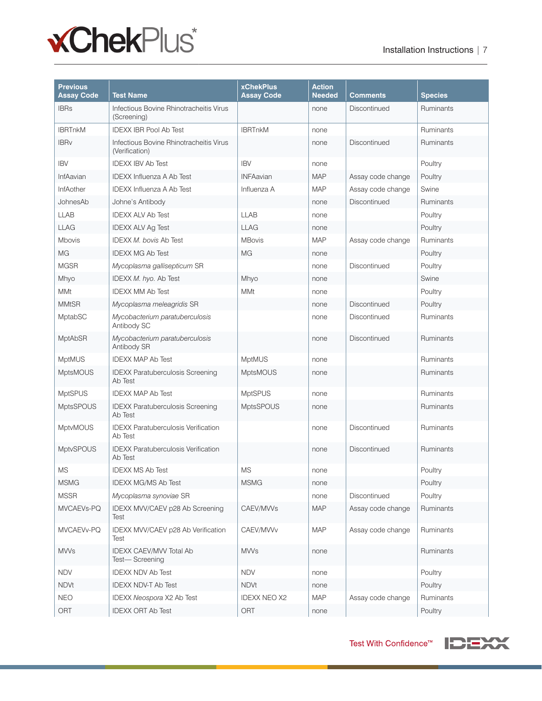# **xChekPlus**\*

| <b>Previous</b><br><b>Assay Code</b> | <b>Test Name</b>                                          | <b>xChekPlus</b><br><b>Assay Code</b> | <b>Action</b><br><b>Needed</b> | Comments          | <b>Species</b>   |
|--------------------------------------|-----------------------------------------------------------|---------------------------------------|--------------------------------|-------------------|------------------|
| <b>IBRs</b>                          | Infectious Bovine Rhinotracheitis Virus<br>(Screening)    |                                       | none                           | Discontinued      | Ruminants        |
| <b>IBRTnkM</b>                       | <b>IDEXX IBR Pool Ab Test</b>                             | <b>IBRTnkM</b>                        | none                           |                   | Ruminants        |
| <b>IBRv</b>                          | Infectious Bovine Rhinotracheitis Virus<br>(Verification) |                                       | none                           | Discontinued      | Ruminants        |
| <b>IBV</b>                           | <b>IDEXX IBV Ab Test</b>                                  | <b>IBV</b>                            | none                           |                   | Poultry          |
| InfAavian                            | <b>IDEXX Influenza A Ab Test</b>                          | <b>INFAavian</b>                      | <b>MAP</b>                     | Assay code change | Poultry          |
| <b>InfAother</b>                     | <b>IDEXX Influenza A Ab Test</b>                          | Influenza A                           | <b>MAP</b>                     | Assay code change | Swine            |
| JohnesAb                             | Johne's Antibody                                          |                                       | none                           | Discontinued      | Ruminants        |
| <b>LLAB</b>                          | <b>IDEXX ALV Ab Test</b>                                  | <b>LLAB</b>                           | none                           |                   | Poultry          |
| <b>LLAG</b>                          | <b>IDEXX ALV Ag Test</b>                                  | <b>LLAG</b>                           | none                           |                   | Poultry          |
| <b>Mbovis</b>                        | <b>IDEXX M. bovis Ab Test</b>                             | <b>MBovis</b>                         | <b>MAP</b>                     | Assay code change | Ruminants        |
| MG                                   | <b>IDEXX MG Ab Test</b>                                   | MG                                    | none                           |                   | Poultry          |
| <b>MGSR</b>                          | Mycoplasma gallisepticum SR                               |                                       | none                           | Discontinued      | Poultry          |
| Mhyo                                 | IDEXX M. hyo. Ab Test                                     | Mhyo                                  | none                           |                   | Swine            |
| <b>MMt</b>                           | <b>IDEXX MM Ab Test</b>                                   | <b>MMt</b>                            | none                           |                   | Poultry          |
| <b>MMtSR</b>                         | Mycoplasma meleagridis SR                                 |                                       | none                           | Discontinued      | Poultry          |
| MptabSC                              | Mycobacterium paratuberculosis<br>Antibody SC             |                                       | none                           | Discontinued      | Ruminants        |
| <b>MptAbSR</b>                       | Mycobacterium paratuberculosis<br>Antibody SR             |                                       | none                           | Discontinued      | Ruminants        |
| <b>MptMUS</b>                        | <b>IDEXX MAP Ab Test</b>                                  | <b>MptMUS</b>                         | none                           |                   | <b>Ruminants</b> |
| <b>MptsMOUS</b>                      | <b>IDEXX Paratuberculosis Screening</b><br>Ab Test        | <b>MptsMOUS</b>                       | none                           |                   | Ruminants        |
| <b>MptSPUS</b>                       | <b>IDEXX MAP Ab Test</b>                                  | <b>MptSPUS</b>                        | none                           |                   | Ruminants        |
| <b>MptsSPOUS</b>                     | <b>IDEXX Paratuberculosis Screening</b><br>Ab Test        | <b>MptsSPOUS</b>                      | none                           |                   | Ruminants        |
| <b>MptvMOUS</b>                      | <b>IDEXX Paratuberculosis Verification</b><br>Ab Test     |                                       | none                           | Discontinued      | Ruminants        |
| MptvSPOUS                            | <b>IDEXX Paratuberculosis Verification</b><br>Ab Test     |                                       | none                           | Discontinued      | Ruminants        |
| <b>MS</b>                            | <b>IDEXX MS Ab Test</b>                                   | <b>MS</b>                             | none                           |                   | Poultry          |
| <b>MSMG</b>                          | <b>IDEXX MG/MS Ab Test</b>                                | <b>MSMG</b>                           | none                           |                   | Poultry          |
| <b>MSSR</b>                          | Mycoplasma synoviae SR                                    |                                       | none                           | Discontinued      | Poultry          |
| MVCAEVs-PQ                           | IDEXX MVV/CAEV p28 Ab Screening<br>Test                   | CAEV/MVVs                             | <b>MAP</b>                     | Assay code change | Ruminants        |
| MVCAEVv-PQ                           | IDEXX MVV/CAEV p28 Ab Verification<br>Test                | CAEV/MVVv                             | <b>MAP</b>                     | Assay code change | Ruminants        |
| <b>MVVs</b>                          | IDEXX CAEV/MVV Total Ab<br>Test-Screening                 | <b>MVVs</b>                           | none                           |                   | Ruminants        |
| <b>NDV</b>                           | <b>IDEXX NDV Ab Test</b>                                  | <b>NDV</b>                            | none                           |                   | Poultry          |
| <b>NDVt</b>                          | <b>IDEXX NDV-T Ab Test</b>                                | <b>NDVt</b>                           | none                           |                   | Poultry          |
| <b>NEO</b>                           | IDEXX Neospora X2 Ab Test                                 | <b>IDEXX NEO X2</b>                   | <b>MAP</b>                     | Assay code change | Ruminants        |
| ORT                                  | <b>IDEXX ORT Ab Test</b>                                  | ORT                                   | none                           |                   | Poultry          |

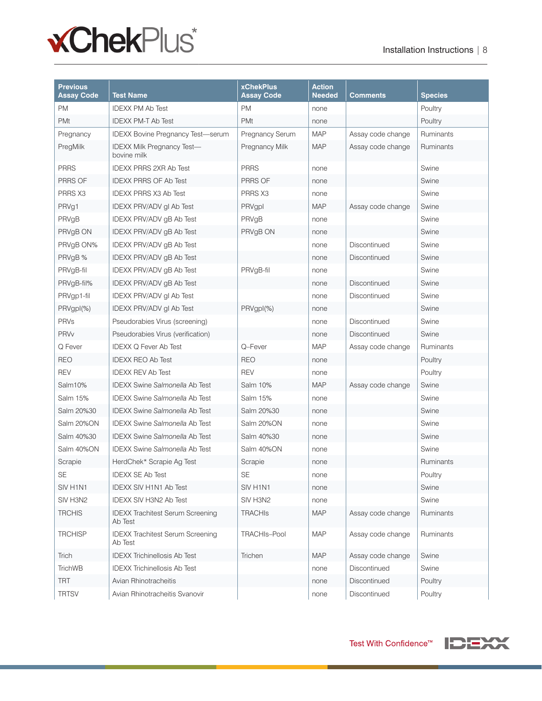

| <b>Previous</b><br><b>Assay Code</b> | <b>Test Name</b>                                   | <b>xChekPlus</b><br><b>Assay Code</b> | <b>Action</b><br><b>Needed</b> | Comments          | <b>Species</b> |
|--------------------------------------|----------------------------------------------------|---------------------------------------|--------------------------------|-------------------|----------------|
| <b>PM</b>                            | <b>IDEXX PM Ab Test</b>                            | <b>PM</b>                             | none                           |                   | Poultry        |
| <b>PMt</b>                           | <b>IDEXX PM-T Ab Test</b>                          | PMt                                   | none                           |                   | Poultry        |
| Pregnancy                            | <b>IDEXX Bovine Pregnancy Test-serum</b>           | <b>Pregnancy Serum</b>                | <b>MAP</b>                     | Assay code change | Ruminants      |
| PregMilk                             | <b>IDEXX Milk Pregnancy Test-</b><br>bovine milk   | Pregnancy Milk                        | <b>MAP</b>                     | Assay code change | Ruminants      |
| <b>PRRS</b>                          | <b>IDEXX PRRS 2XR Ab Test</b>                      | <b>PRRS</b>                           | none                           |                   | Swine          |
| PRRS OF                              | <b>IDEXX PRRS OF Ab Test</b>                       | PRRS OF                               | none                           |                   | Swine          |
| PRRS X3                              | <b>IDEXX PRRS X3 Ab Test</b>                       | PRRS X3                               | none                           |                   | Swine          |
| PRVg1                                | IDEXX PRV/ADV gl Ab Test                           | PRVgpl                                | <b>MAP</b>                     | Assay code change | Swine          |
| PRVgB                                | IDEXX PRV/ADV gB Ab Test                           | PRVgB                                 | none                           |                   | Swine          |
| PRVgB ON                             | IDEXX PRV/ADV gB Ab Test                           | PRVgB ON                              | none                           |                   | Swine          |
| PRVgB ON%                            | <b>IDEXX PRV/ADV gB Ab Test</b>                    |                                       | none                           | Discontinued      | Swine          |
| PRVgB %                              | IDEXX PRV/ADV gB Ab Test                           |                                       | none                           | Discontinued      | Swine          |
| PRVgB-fil                            | <b>IDEXX PRV/ADV gB Ab Test</b>                    | PRVgB-fil                             | none                           |                   | Swine          |
| PRVgB-fil%                           | IDEXX PRV/ADV gB Ab Test                           |                                       | none                           | Discontinued      | Swine          |
| PRVgp1-fil                           | <b>IDEXX PRV/ADV gl Ab Test</b>                    |                                       | none                           | Discontinued      | Swine          |
| PRVgpI(%)                            | IDEXX PRV/ADV gI Ab Test                           | PRVgpI(%)                             | none                           |                   | Swine          |
| PRVs                                 | Pseudorabies Virus (screening)                     |                                       | none                           | Discontinued      | Swine          |
| <b>PRVv</b>                          | Pseudorabies Virus (verification)                  |                                       | none                           | Discontinued      | Swine          |
| Q Fever                              | <b>IDEXX Q Fever Ab Test</b>                       | Q-Fever                               | <b>MAP</b>                     | Assay code change | Ruminants      |
| <b>REO</b>                           | <b>IDEXX REO Ab Test</b>                           | <b>REO</b>                            | none                           |                   | Poultry        |
| <b>REV</b>                           | <b>IDEXX REV Ab Test</b>                           | REV                                   | none                           |                   | Poultry        |
| Salm10%                              | <b>IDEXX Swine Salmonella Ab Test</b>              | Salm 10%                              | <b>MAP</b>                     | Assay code change | Swine          |
| Salm 15%                             | <b>IDEXX Swine Salmonella Ab Test</b>              | Salm 15%                              | none                           |                   | Swine          |
| Salm 20%30                           | <b>IDEXX Swine Salmonella Ab Test</b>              | Salm 20%30                            | none                           |                   | Swine          |
| Salm 20%ON                           | <b>IDEXX Swine Salmonella Ab Test</b>              | Salm 20%ON                            | none                           |                   | Swine          |
| Salm 40%30                           | <b>IDEXX Swine Salmonella Ab Test</b>              | Salm 40%30                            | none                           |                   | Swine          |
| Salm 40%ON                           | <b>IDEXX Swine Salmonella Ab Test</b>              | Salm 40%ON                            | none                           |                   | Swine          |
| Scrapie                              | HerdChek* Scrapie Ag Test                          | Scrapie                               | none                           |                   | Ruminants      |
| SE                                   | <b>IDEXX SE Ab Test</b>                            | <b>SE</b>                             | none                           |                   | Poultry        |
| SIV H1N1                             | <b>IDEXX SIV H1N1 Ab Test</b>                      | SIV H1N1                              | none                           |                   | Swine          |
| SIV H3N2                             | <b>IDEXX SIV H3N2 Ab Test</b>                      | SIV H3N2                              | none                           |                   | Swine          |
| <b>TRCHIS</b>                        | <b>IDEXX Trachitest Serum Screening</b><br>Ab Test | <b>TRACHIS</b>                        | <b>MAP</b>                     | Assay code change | Ruminants      |
| <b>TRCHISP</b>                       | <b>IDEXX Trachitest Serum Screening</b><br>Ab Test | TRACHIs-Pool                          | <b>MAP</b>                     | Assay code change | Ruminants      |
| Trich                                | <b>IDEXX Trichinellosis Ab Test</b>                | Trichen                               | <b>MAP</b>                     | Assay code change | Swine          |
| <b>TrichWB</b>                       | <b>IDEXX Trichinellosis Ab Test</b>                |                                       | none                           | Discontinued      | Swine          |
| <b>TRT</b>                           | Avian Rhinotracheitis                              |                                       | none                           | Discontinued      | Poultry        |
| <b>TRTSV</b>                         | Avian Rhinotracheitis Svanovir                     |                                       | none                           | Discontinued      | Poultry        |